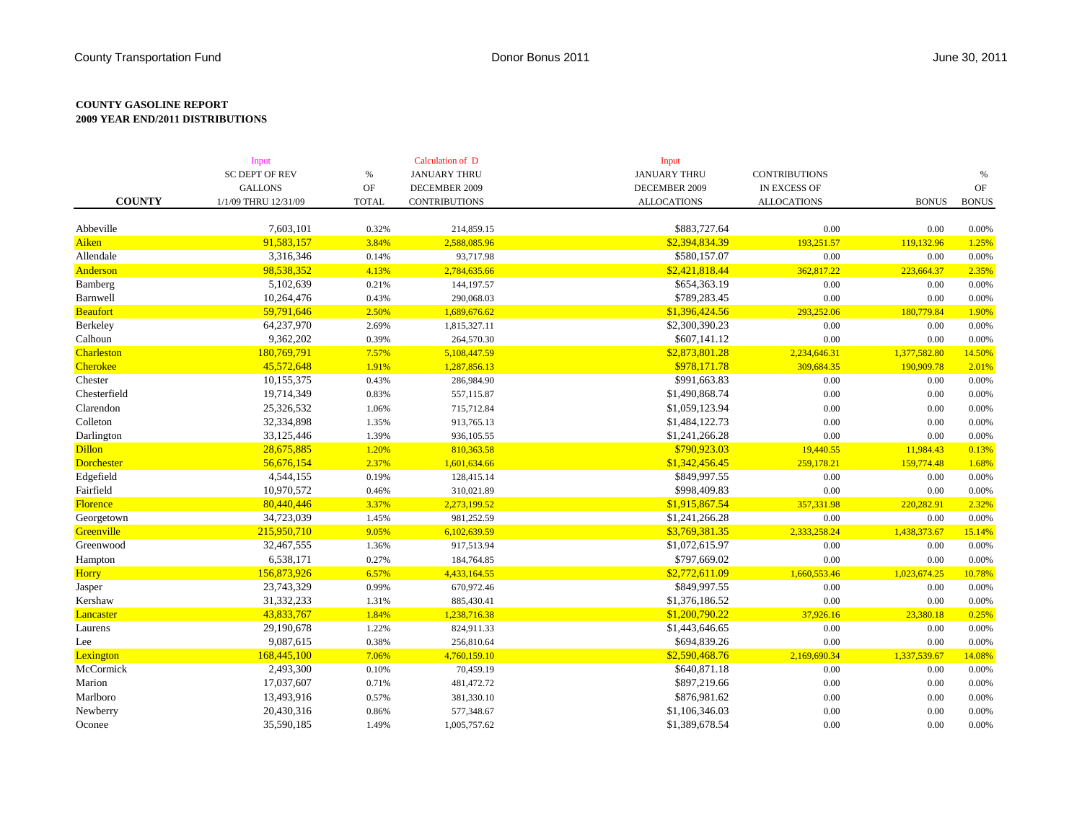## **COUNTY GASOLINE REPORT 2009 YEAR END/2011 DISTRIBUTIONS**

|                   | Input                 |               | Calculation of D     | Input               | <b>CONTRIBUTIONS</b> |              | $\%$                                                                                    |
|-------------------|-----------------------|---------------|----------------------|---------------------|----------------------|--------------|-----------------------------------------------------------------------------------------|
|                   | <b>SC DEPT OF REV</b> | $\%$          | <b>JANUARY THRU</b>  | <b>JANUARY THRU</b> |                      |              |                                                                                         |
|                   | <b>GALLONS</b>        | $\mathrm{OF}$ | DECEMBER 2009        | DECEMBER 2009       | IN EXCESS OF         |              | $\mathrm{OF}% (\mathcal{M}_{0})\otimes\mathcal{M}(\mathcal{M}_{0})=\mathcal{M}_{0}^{0}$ |
| <b>COUNTY</b>     | 1/1/09 THRU 12/31/09  | <b>TOTAL</b>  | <b>CONTRIBUTIONS</b> | <b>ALLOCATIONS</b>  | <b>ALLOCATIONS</b>   | <b>BONUS</b> | <b>BONUS</b>                                                                            |
|                   |                       |               |                      |                     |                      |              |                                                                                         |
| Abbeville         | 7,603,101             | 0.32%         | 214,859.15           | \$883,727.64        | 0.00                 | 0.00         | 0.00%                                                                                   |
| Aiken             | 91,583,157            | 3.84%         | 2,588,085.96         | \$2,394,834.39      | 193,251.57           | 119,132.96   | 1.25%                                                                                   |
| Allendale         | 3,316,346             | 0.14%         | 93,717.98            | \$580,157.07        | $0.00\,$             | 0.00         | 0.00%                                                                                   |
| Anderson          | 98,538,352            | 4.13%         | 2,784,635.66         | \$2,421,818.44      | 362,817.22           | 223,664.37   | 2.35%                                                                                   |
| Bamberg           | 5,102,639             | 0.21%         | 144,197.57           | \$654,363.19        | $0.00\,$             | 0.00         | 0.00%                                                                                   |
| Barnwell          | 10,264,476            | 0.43%         | 290,068.03           | \$789,283.45        | $0.00\,$             | 0.00         | 0.00%                                                                                   |
| <b>Beaufort</b>   | 59,791,646            | 2.50%         | 1,689,676.62         | \$1,396,424.56      | 293,252.06           | 180,779.84   | 1.90%                                                                                   |
| Berkeley          | 64,237,970            | 2.69%         | 1,815,327.11         | \$2,300,390.23      | 0.00                 | 0.00         | 0.00%                                                                                   |
| Calhoun           | 9,362,202             | 0.39%         | 264,570.30           | \$607,141.12        | $0.00\,$             | 0.00         | 0.00%                                                                                   |
| <b>Charleston</b> | 180,769,791           | 7.57%         | 5,108,447.59         | \$2,873,801.28      | 2,234,646.31         | 1,377,582.80 | 14.50%                                                                                  |
| Cherokee          | 45,572,648            | 1.91%         | 1,287,856.13         | \$978,171.78        | 309,684.35           | 190,909.78   | 2.01%                                                                                   |
| Chester           | 10,155,375            | 0.43%         | 286,984.90           | \$991,663.83        | $0.00\,$             | 0.00         | 0.00%                                                                                   |
| Chesterfield      | 19,714,349            | 0.83%         | 557,115.87           | \$1,490,868.74      | $0.00\,$             | 0.00         | 0.00%                                                                                   |
| Clarendon         | 25,326,532            | 1.06%         | 715,712.84           | \$1,059,123.94      | $0.00\,$             | 0.00         | 0.00%                                                                                   |
| Colleton          | 32,334,898            | 1.35%         | 913,765.13           | \$1,484,122.73      | $0.00\,$             | 0.00         | 0.00%                                                                                   |
| Darlington        | 33,125,446            | 1.39%         | 936,105.55           | \$1,241,266.28      | $0.00\,$             | 0.00         | 0.00%                                                                                   |
| <b>Dillon</b>     | 28,675,885            | 1.20%         | 810,363.58           | \$790,923.03        | 19,440.55            | 11,984.43    | 0.13%                                                                                   |
| <b>Dorchester</b> | 56,676,154            | 2.37%         | 1,601,634.66         | \$1,342,456.45      | 259,178.21           | 159,774.48   | 1.68%                                                                                   |
| Edgefield         | 4,544,155             | 0.19%         | 128,415.14           | \$849,997.55        | 0.00                 | 0.00         | 0.00%                                                                                   |
| Fairfield         | 10,970,572            | 0.46%         | 310,021.89           | \$998,409.83        | $0.00\,$             | 0.00         | 0.00%                                                                                   |
| Florence          | 80,440,446            | 3.37%         | 2,273,199.52         | \$1,915,867.54      | 357,331.98           | 220,282.91   | 2.32%                                                                                   |
| Georgetown        | 34,723,039            | 1.45%         | 981,252.59           | \$1,241,266.28      | $0.00\,$             | 0.00         | 0.00%                                                                                   |
| Greenville        | 215,950,710           | 9.05%         | 6,102,639.59         | \$3,769,381.35      | 2,333,258.24         | 1,438,373.67 | 15.14%                                                                                  |
| Greenwood         | 32,467,555            | 1.36%         | 917,513.94           | \$1,072,615.97      | $0.00\,$             | 0.00         | 0.00%                                                                                   |
| Hampton           | 6,538,171             | 0.27%         | 184,764.85           | \$797,669.02        | $0.00\,$             | 0.00         | 0.00%                                                                                   |
| <b>Horry</b>      | 156,873,926           | 6.57%         | 4,433,164.55         | \$2,772,611.09      | 1,660,553.46         | 1,023,674.25 | 10.78%                                                                                  |
| Jasper            | 23,743,329            | 0.99%         | 670,972.46           | \$849,997.55        | $0.00\,$             | 0.00         | 0.00%                                                                                   |
| Kershaw           | 31,332,233            | 1.31%         | 885,430.41           | \$1,376,186.52      | $0.00\,$             | 0.00         | 0.00%                                                                                   |
| Lancaster         | 43,833,767            | 1.84%         | 1,238,716.38         | \$1,200,790.22      | 37,926.16            | 23,380.18    | 0.25%                                                                                   |
| Laurens           | 29,190,678            | 1.22%         | 824,911.33           | \$1,443,646.65      | $0.00\,$             | 0.00         | 0.00%                                                                                   |
| Lee               | 9,087,615             | 0.38%         | 256,810.64           | \$694,839.26        | 0.00                 | 0.00         | 0.00%                                                                                   |
| Lexington         | 168,445,100           | 7.06%         | 4,760,159.10         | \$2,590,468.76      | 2,169,690.34         | 1,337,539.67 | 14.08%                                                                                  |
| McCormick         | 2,493,300             | 0.10%         | 70,459.19            | \$640,871.18        | 0.00                 | 0.00         | 0.00%                                                                                   |
| Marion            | 17,037,607            | 0.71%         | 481,472.72           | \$897,219.66        | $0.00\,$             | 0.00         | 0.00%                                                                                   |
| Marlboro          | 13,493,916            | 0.57%         | 381,330.10           | \$876,981.62        | $0.00\,$             | 0.00         | 0.00%                                                                                   |
| Newberry          | 20,430,316            | 0.86%         | 577,348.67           | \$1,106,346.03      | 0.00                 | 0.00         | 0.00%                                                                                   |
| Oconee            | 35,590,185            | 1.49%         | 1,005,757.62         | \$1,389,678.54      | 0.00                 | 0.00         | 0.00%                                                                                   |